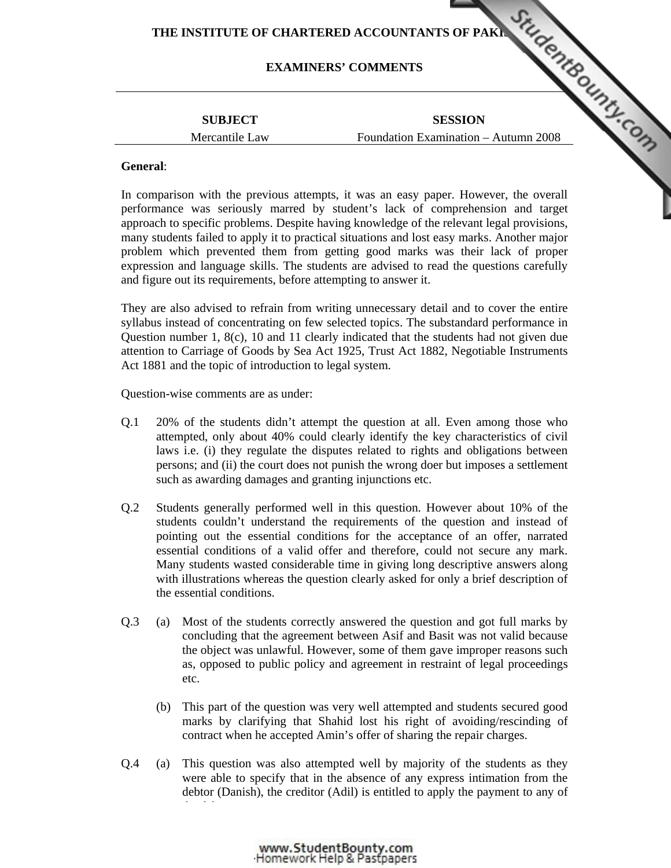# THE INSTITUTE OF CHARTERED ACCOUNTANTS OF PAKING THE INSTITUTE OF CHARTERED ACCOUNTANTS OF PAKING THE CHARTERS' COMMENTS

# **EXAMINERS' COMMENTS**

# **SUBJECT**  Mercantile Law

**SESSION**  Foundation Examination – Autumn 2008

## **General**:

In comparison with the previous attempts, it was an easy paper. However, the overall performance was seriously marred by student's lack of co[mprehension and target](http://www.studentbounty.com/)  approach to specific problems. Despite having knowledge of the relevant legal provisions, many students failed to apply it to practical situations and lost easy marks. Another major problem which prevented them from getting good marks was their lack of proper expression and language skills. The students are advised to read the questions carefully and figure out its requirements, before attempting to answer it.

They are also advised to refrain from writing unnecessary detail and to cover the entire syllabus instead of concentrating on few selected topics. The substandard performance in Question number 1, 8(c), 10 and 11 clearly indicated that the students had not given due attention to Carriage of Goods by Sea Act 1925, Trust Act 1882, Negotiable Instruments Act 1881 and the topic of introduction to legal system.

Question-wise comments are as under:

- Q.1 20% of the students didn't attempt the question at all. Even among those who attempted, only about 40% could clearly identify the key characteristics of civil laws i.e. (i) they regulate the disputes related to rights and obligations between persons; and (ii) the court does not punish the wrong doer but imposes a settlement such as awarding damages and granting injunctions etc.
- Q.2 Students generally performed well in this question. However about 10% of the students couldn't understand the requirements of the question and instead of pointing out the essential conditions for the acceptance of an offer, narrated essential conditions of a valid offer and therefore, could not secure any mark. Many students wasted considerable time in giving long descriptive answers along with illustrations whereas the question clearly asked for only a brief description of the essential conditions.
- Q.3 (a) Most of the students correctly answered the question and got full marks by concluding that the agreement between Asif and Basit was not valid because the object was unlawful. However, some of them gave improper reasons such as, opposed to public policy and agreement in restraint of legal proceedings etc.
	- (b) This part of the question was very well attempted and students secured good marks by clarifying that Shahid lost his right of avoiding/rescinding of contract when he accepted Amin's offer of sharing the repair charges.
- Q.4 (a) This question was also attempted well by majority of the students as they were able to specify that in the absence of any express intimation from the debtor (Danish), the creditor (Adil) is entitled to apply the payment to any of

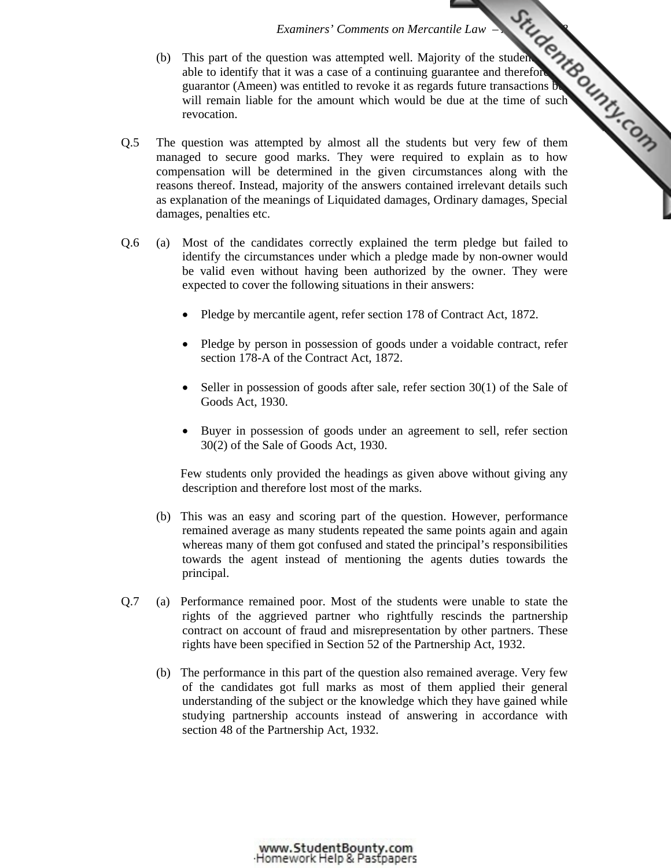- *Examiners' Comments on Mercantile Law ALCO*<br>
<sup>41</sup> Autempted well. Majority of the student continuing guarantee and therefore<br>
<sup>200</sup> ergards future transactions<br>
<sup>4</sup> due at the time of such<br>
<sup>4</sup> COM (b) This part of the question was attempted well. Majority of the students  $\alpha$ able to identify that it was a case of a continuing guarantee and therefore guarantor (Ameen) was entitled to revoke it as regards future transactions but will remain liable for the amount which would be [due at the time of such](http://www.studentbounty.com/)  revocation.
- Q.5 The question was attempted by almost all the students but very few of them managed to secure good marks. They were required to explain as to how compensation will be determined in the given circumstances along with the reasons thereof. Instead, majority of the answers contained irrelevant details such as explanation of the meanings of Liquidated damages, Ordinary damages, Special damages, penalties etc.
- Q.6 (a) Most of the candidates correctly explained the term pledge but failed to identify the circumstances under which a pledge made by non-owner would be valid even without having been authorized by the owner. They were expected to cover the following situations in their answers:
	- Pledge by mercantile agent, refer section 178 of Contract Act, 1872.
	- Pledge by person in possession of goods under a voidable contract, refer section 178-A of the Contract Act, 1872.
	- Seller in possession of goods after sale, refer section 30(1) of the Sale of Goods Act, 1930.
	- Buyer in possession of goods under an agreement to sell, refer section 30(2) of the Sale of Goods Act, 1930.

 Few students only provided the headings as given above without giving any description and therefore lost most of the marks.

- (b) This was an easy and scoring part of the question. However, performance remained average as many students repeated the same points again and again whereas many of them got confused and stated the principal's responsibilities towards the agent instead of mentioning the agents duties towards the principal.
- Q.7 (a) Performance remained poor. Most of the students were unable to state the rights of the aggrieved partner who rightfully rescinds the partnership contract on account of fraud and misrepresentation by other partners. These rights have been specified in Section 52 of the Partnership Act, 1932.
	- (b) The performance in this part of the question also remained average. Very few of the candidates got full marks as most of them applied their general understanding of the subject or the knowledge which they have gained while studying partnership accounts instead of answering in accordance with section 48 of the Partnership Act, 1932.

www.StudentBounty.com Homework Help & Pastoapers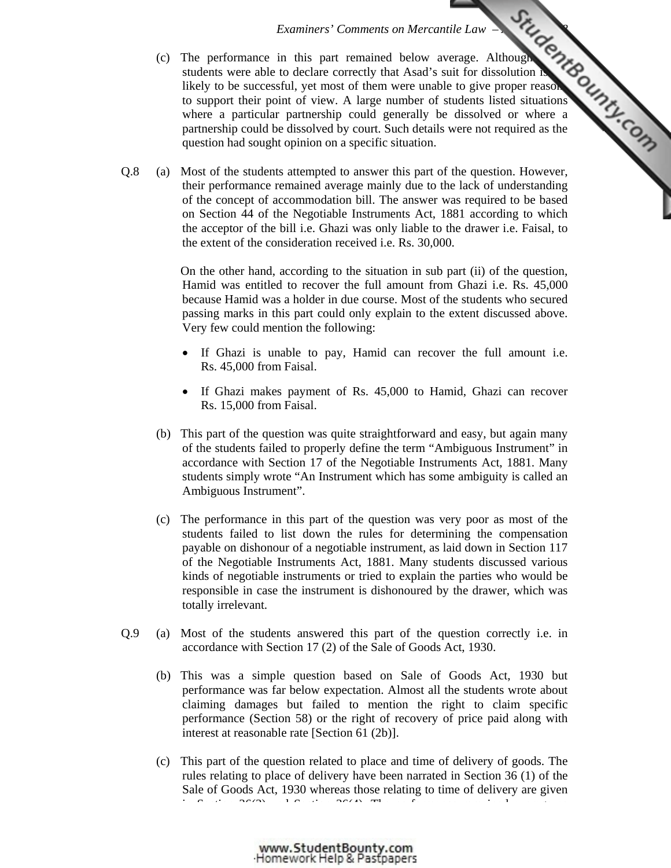- *Examiners' Comments on Mercant[ile Law Autumn 2008](http://www.studentbounty.com/)*   $(c)$  The performance in this part remained below average. Although students were able to declare correctly that Asad's suit for dissolution is likely to be successful, yet most of them were unable to give proper reasons to support their point of view. A large number of students listed situations where a particular partnership could generally be dissolved or where a partnership could be dissolved by court. Such details were not required as the question had sought opinion on a specific situation.
- Q.8 (a) Most of the students attempted to answer this part of the question. However, their performance remained average mainly due to the lack of understanding of the concept of accommodation bill. The answer was required to be based on Section 44 of the Negotiable Instruments Act, 1881 according to which the acceptor of the bill i.e. Ghazi was only liable to the drawer i.e. Faisal, to the extent of the consideration received i.e. Rs. 30,000.

 On the other hand, according to the situation in sub part (ii) of the question, Hamid was entitled to recover the full amount from Ghazi i.e. Rs. 45,000 because Hamid was a holder in due course. Most of the students who secured passing marks in this part could only explain to the extent discussed above. Very few could mention the following:

- If Ghazi is unable to pay, Hamid can recover the full amount i.e. Rs. 45,000 from Faisal.
- If Ghazi makes payment of Rs. 45,000 to Hamid, Ghazi can recover Rs. 15,000 from Faisal.
- (b) This part of the question was quite straightforward and easy, but again many of the students failed to properly define the term "Ambiguous Instrument" in accordance with Section 17 of the Negotiable Instruments Act, 1881. Many students simply wrote "An Instrument which has some ambiguity is called an Ambiguous Instrument".
- (c) The performance in this part of the question was very poor as most of the students failed to list down the rules for determining the compensation payable on dishonour of a negotiable instrument, as laid down in Section 117 of the Negotiable Instruments Act, 1881. Many students discussed various kinds of negotiable instruments or tried to explain the parties who would be responsible in case the instrument is dishonoured by the drawer, which was totally irrelevant.
- Q.9 (a) Most of the students answered this part of the question correctly i.e. in accordance with Section 17 (2) of the Sale of Goods Act, 1930.
	- (b) This was a simple question based on Sale of Goods Act, 1930 but performance was far below expectation. Almost all the students wrote about claiming damages but failed to mention the right to claim specific performance (Section 58) or the right of recovery of price paid along with interest at reasonable rate [Section 61 (2b)].
	- (c) This part of the question related to place and time of delivery of goods. The rules relating to place of delivery have been narrated in Section 36 (1) of the Sale of Goods Act, 1930 whereas those relating to time of delivery are given in Section 36(2) and Section 36(4). The performance remained average as

www.StudentBounty.com Homework Help & Pastpapers